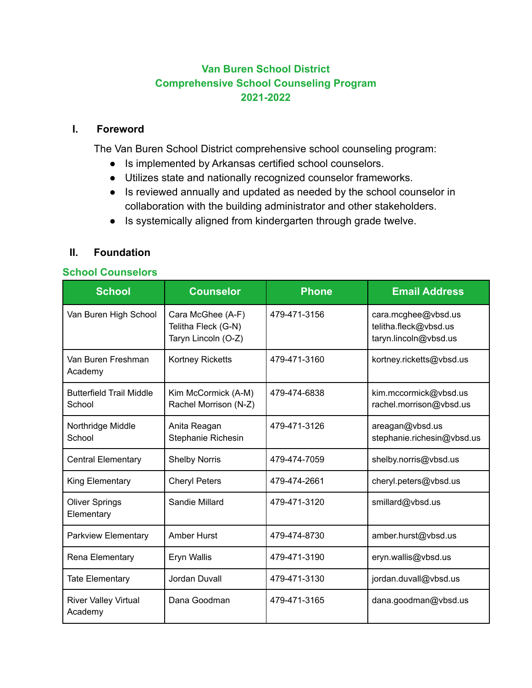# **Van Buren School District Comprehensive School Counseling Program 2021-2022**

### **I. Foreword**

The Van Buren School District comprehensive school counseling program:

- Is implemented by Arkansas certified school counselors.
- Utilizes state and nationally recognized counselor frameworks.
- Is reviewed annually and updated as needed by the school counselor in collaboration with the building administrator and other stakeholders.
- Is systemically aligned from kindergarten through grade twelve.

### **II. Foundation**

### **School Counselors**

| <b>School</b>                             | <b>Counselor</b>                                                | <b>Phone</b> | <b>Email Address</b>                                                  |
|-------------------------------------------|-----------------------------------------------------------------|--------------|-----------------------------------------------------------------------|
| Van Buren High School                     | Cara McGhee (A-F)<br>Telitha Fleck (G-N)<br>Taryn Lincoln (O-Z) | 479-471-3156 | cara.mcghee@vbsd.us<br>telitha.fleck@vbsd.us<br>taryn.lincoln@vbsd.us |
| Van Buren Freshman<br>Academy             | <b>Kortney Ricketts</b>                                         | 479-471-3160 | kortney.ricketts@vbsd.us                                              |
| <b>Butterfield Trail Middle</b><br>School | Kim McCormick (A-M)<br>Rachel Morrison (N-Z)                    | 479-474-6838 | kim.mccormick@vbsd.us<br>rachel.morrison@vbsd.us                      |
| Northridge Middle<br>School               | Anita Reagan<br>Stephanie Richesin                              | 479-471-3126 | areagan@vbsd.us<br>stephanie.richesin@vbsd.us                         |
| <b>Central Elementary</b>                 | <b>Shelby Norris</b>                                            | 479-474-7059 | shelby.norris@vbsd.us                                                 |
| King Elementary                           | <b>Cheryl Peters</b>                                            | 479-474-2661 | cheryl.peters@vbsd.us                                                 |
| <b>Oliver Springs</b><br>Elementary       | Sandie Millard                                                  | 479-471-3120 | smillard@vbsd.us                                                      |
| <b>Parkview Elementary</b>                | <b>Amber Hurst</b>                                              | 479-474-8730 | amber.hurst@vbsd.us                                                   |
| Rena Elementary                           | Eryn Wallis                                                     | 479-471-3190 | eryn.wallis@vbsd.us                                                   |
| <b>Tate Elementary</b>                    | Jordan Duvall                                                   | 479-471-3130 | jordan.duvall@vbsd.us                                                 |
| <b>River Valley Virtual</b><br>Academy    | Dana Goodman                                                    | 479-471-3165 | dana.goodman@vbsd.us                                                  |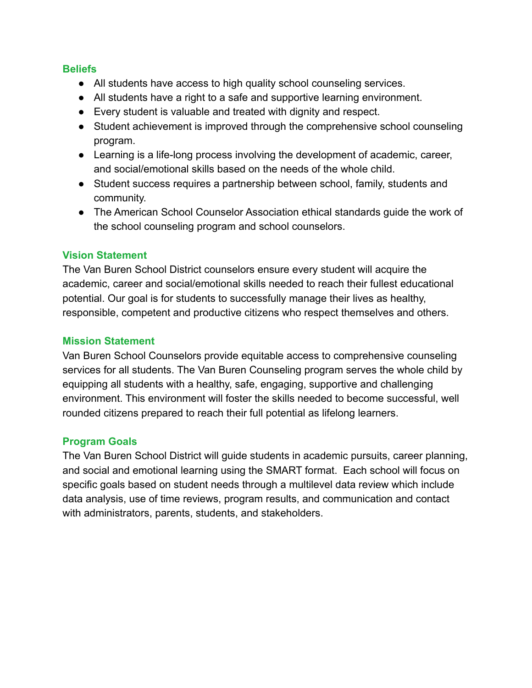### **Beliefs**

- All students have access to high quality school counseling services.
- All students have a right to a safe and supportive learning environment.
- Every student is valuable and treated with dignity and respect.
- Student achievement is improved through the comprehensive school counseling program.
- Learning is a life-long process involving the development of academic, career, and social/emotional skills based on the needs of the whole child.
- Student success requires a partnership between school, family, students and community.
- The American School Counselor Association ethical standards guide the work of the school counseling program and school counselors.

### **Vision Statement**

The Van Buren School District counselors ensure every student will acquire the academic, career and social/emotional skills needed to reach their fullest educational potential. Our goal is for students to successfully manage their lives as healthy, responsible, competent and productive citizens who respect themselves and others.

### **Mission Statement**

Van Buren School Counselors provide equitable access to comprehensive counseling services for all students. The Van Buren Counseling program serves the whole child by equipping all students with a healthy, safe, engaging, supportive and challenging environment. This environment will foster the skills needed to become successful, well rounded citizens prepared to reach their full potential as lifelong learners.

# **Program Goals**

The Van Buren School District will guide students in academic pursuits, career planning, and social and emotional learning using the SMART format. Each school will focus on specific goals based on student needs through a multilevel data review which include data analysis, use of time reviews, program results, and communication and contact with administrators, parents, students, and stakeholders.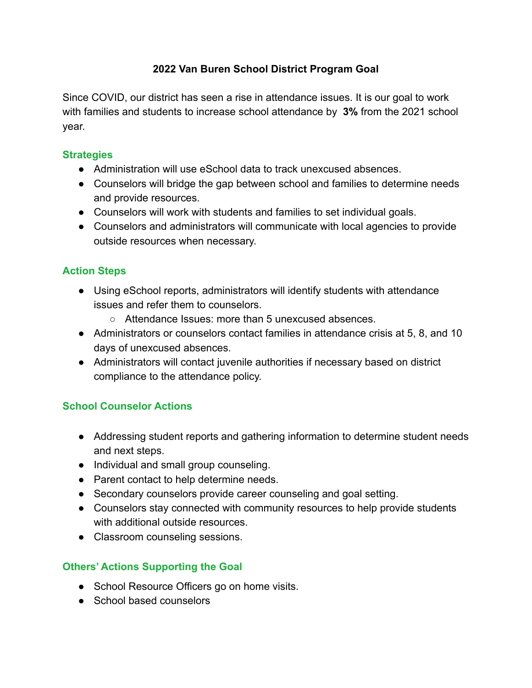# **2022 Van Buren School District Program Goal**

Since COVID, our district has seen a rise in attendance issues. It is our goal to work with families and students to increase school attendance by **3%** from the 2021 school year.

### **Strategies**

- Administration will use eSchool data to track unexcused absences
- Counselors will bridge the gap between school and families to determine needs and provide resources.
- Counselors will work with students and families to set individual goals.
- Counselors and administrators will communicate with local agencies to provide outside resources when necessary.

# **Action Steps**

- Using eSchool reports, administrators will identify students with attendance issues and refer them to counselors.
	- Attendance Issues: more than 5 unexcused absences.
- Administrators or counselors contact families in attendance crisis at 5, 8, and 10 days of unexcused absences.
- Administrators will contact juvenile authorities if necessary based on district compliance to the attendance policy.

# **School Counselor Actions**

- Addressing student reports and gathering information to determine student needs and next steps.
- Individual and small group counseling.
- Parent contact to help determine needs.
- Secondary counselors provide career counseling and goal setting.
- Counselors stay connected with community resources to help provide students with additional outside resources.
- Classroom counseling sessions.

# **Others' Actions Supporting the Goal**

- School Resource Officers go on home visits.
- School based counselors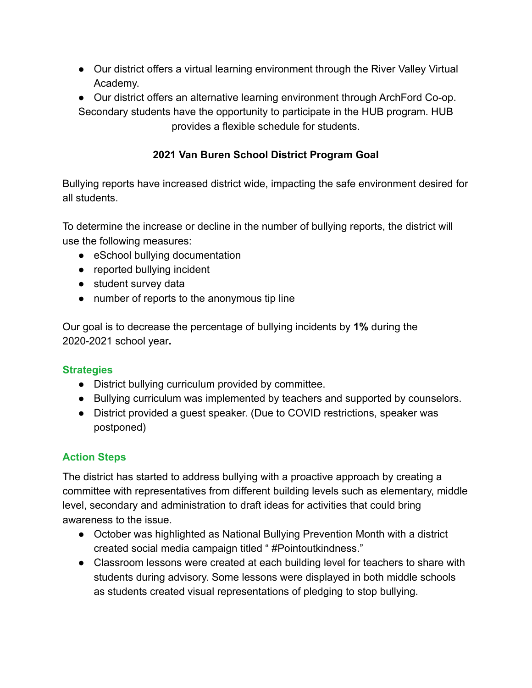- Our district offers a virtual learning environment through the River Valley Virtual Academy.
- Our district offers an alternative learning environment through ArchFord Co-op. Secondary students have the opportunity to participate in the HUB program. HUB provides a flexible schedule for students.

# **2021 Van Buren School District Program Goal**

Bullying reports have increased district wide, impacting the safe environment desired for all students.

To determine the increase or decline in the number of bullying reports, the district will use the following measures:

- eSchool bullying documentation
- reported bullying incident
- student survey data
- number of reports to the anonymous tip line

Our goal is to decrease the percentage of bullying incidents by **1%** during the 2020-2021 school year**.**

# **Strategies**

- District bullying curriculum provided by committee.
- Bullying curriculum was implemented by teachers and supported by counselors.
- District provided a guest speaker. (Due to COVID restrictions, speaker was postponed)

# **Action Steps**

The district has started to address bullying with a proactive approach by creating a committee with representatives from different building levels such as elementary, middle level, secondary and administration to draft ideas for activities that could bring awareness to the issue.

- October was highlighted as National Bullying Prevention Month with a district created social media campaign titled " #Pointoutkindness."
- Classroom lessons were created at each building level for teachers to share with students during advisory. Some lessons were displayed in both middle schools as students created visual representations of pledging to stop bullying.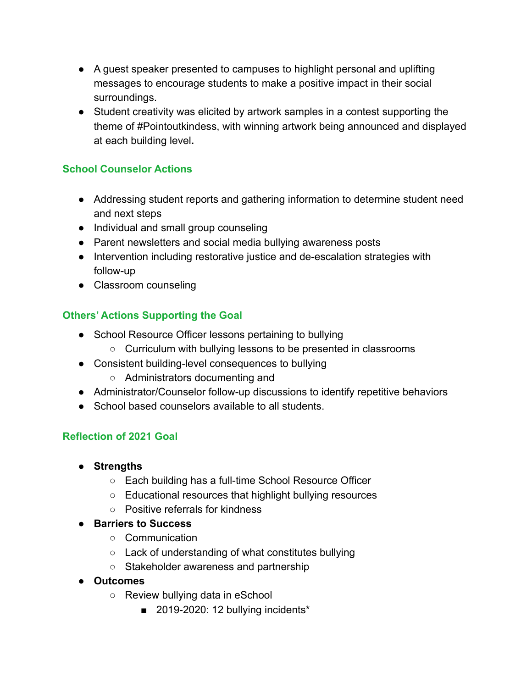- A guest speaker presented to campuses to highlight personal and uplifting messages to encourage students to make a positive impact in their social surroundings.
- Student creativity was elicited by artwork samples in a contest supporting the theme of #Pointoutkindess, with winning artwork being announced and displayed at each building level**.**

### **School Counselor Actions**

- Addressing student reports and gathering information to determine student need and next steps
- Individual and small group counseling
- Parent newsletters and social media bullying awareness posts
- Intervention including restorative justice and de-escalation strategies with follow-up
- Classroom counseling

# **Others' Actions Supporting the Goal**

- School Resource Officer lessons pertaining to bullying
	- Curriculum with bullying lessons to be presented in classrooms
- Consistent building-level consequences to bullying
	- Administrators documenting and
- Administrator/Counselor follow-up discussions to identify repetitive behaviors
- School based counselors available to all students

# **Reflection of 2021 Goal**

- **● Strengths**
	- Each building has a full-time School Resource Officer
	- Educational resources that highlight bullying resources
	- Positive referrals for kindness
- **● Barriers to Success**
	- Communication
	- Lack of understanding of what constitutes bullying
	- Stakeholder awareness and partnership
- **Outcomes**
	- Review bullying data in eSchool
		- 2019-2020: 12 bullying incidents\*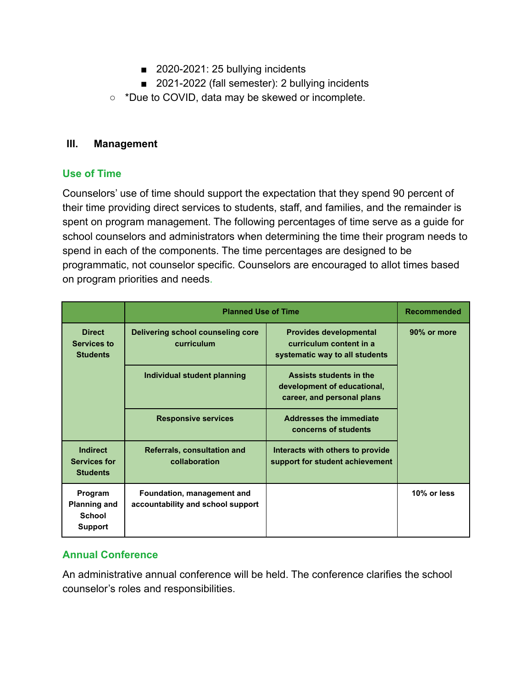- 2020-2021: 25 bullying incidents
- 2021-2022 (fall semester): 2 bullying incidents
- \*Due to COVID, data may be skewed or incomplete.

#### **III. Management**

#### **Use of Time**

Counselors' use of time should support the expectation that they spend 90 percent of their time providing direct services to students, staff, and families, and the remainder is spent on program management. The following percentages of time serve as a guide for school counselors and administrators when determining the time their program needs to spend in each of the components. The time percentages are designed to be programmatic, not counselor specific. Counselors are encouraged to allot times based on program priorities and needs.

|                                                                   | <b>Planned Use of Time</b>                                      |                                                                                            | <b>Recommended</b> |
|-------------------------------------------------------------------|-----------------------------------------------------------------|--------------------------------------------------------------------------------------------|--------------------|
| <b>Direct</b><br>Services to<br><b>Students</b>                   | Delivering school counseling core<br>curriculum                 | <b>Provides developmental</b><br>curriculum content in a<br>systematic way to all students | 90% or more        |
|                                                                   | Individual student planning                                     | Assists students in the<br>development of educational,<br>career, and personal plans       |                    |
|                                                                   | <b>Responsive services</b>                                      | <b>Addresses the immediate</b><br>concerns of students                                     |                    |
| <b>Indirect</b><br><b>Services for</b><br><b>Students</b>         | <b>Referrals, consultation and</b><br>collaboration             | Interacts with others to provide<br>support for student achievement                        |                    |
| Program<br><b>Planning and</b><br><b>School</b><br><b>Support</b> | Foundation, management and<br>accountability and school support |                                                                                            | 10% or less        |

### **Annual Conference**

An administrative annual conference will be held. The conference clarifies the school counselor's roles and responsibilities.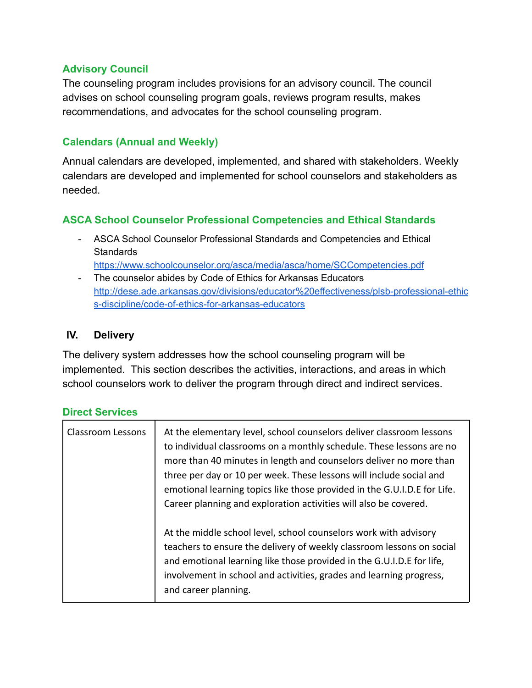### **Advisory Council**

The counseling program includes provisions for an advisory council. The council advises on school counseling program goals, reviews program results, makes recommendations, and advocates for the school counseling program.

#### **Calendars (Annual and Weekly)**

Annual calendars are developed, implemented, and shared with stakeholders. Weekly calendars are developed and implemented for school counselors and stakeholders as needed.

### **ASCA School Counselor Professional Competencies and Ethical Standards**

- ASCA School Counselor Professional Standards and Competencies and Ethical **Standards** <https://www.schoolcounselor.org/asca/media/asca/home/SCCompetencies.pdf>
- The counselor abides by Code of Ethics for Arkansas Educators [http://dese.ade.arkansas.gov/divisions/educator%20effectiveness/plsb-professional-ethic](http://dese.ade.arkansas.gov/divisions/educator%20effectiveness/plsb-professional-ethics-discipline/code-of-ethics-for-arkansas-educators) [s-discipline/code-of-ethics-for-arkansas-educators](http://dese.ade.arkansas.gov/divisions/educator%20effectiveness/plsb-professional-ethics-discipline/code-of-ethics-for-arkansas-educators)

#### **IV. Delivery**

The delivery system addresses how the school counseling program will be implemented. This section describes the activities, interactions, and areas in which school counselors work to deliver the program through direct and indirect services.

#### **Direct Services**

| Classroom Lessons | At the elementary level, school counselors deliver classroom lessons<br>to individual classrooms on a monthly schedule. These lessons are no<br>more than 40 minutes in length and counselors deliver no more than<br>three per day or 10 per week. These lessons will include social and<br>emotional learning topics like those provided in the G.U.I.D.E for Life.<br>Career planning and exploration activities will also be covered. |
|-------------------|-------------------------------------------------------------------------------------------------------------------------------------------------------------------------------------------------------------------------------------------------------------------------------------------------------------------------------------------------------------------------------------------------------------------------------------------|
|                   | At the middle school level, school counselors work with advisory<br>teachers to ensure the delivery of weekly classroom lessons on social<br>and emotional learning like those provided in the G.U.I.D.E for life,<br>involvement in school and activities, grades and learning progress,<br>and career planning.                                                                                                                         |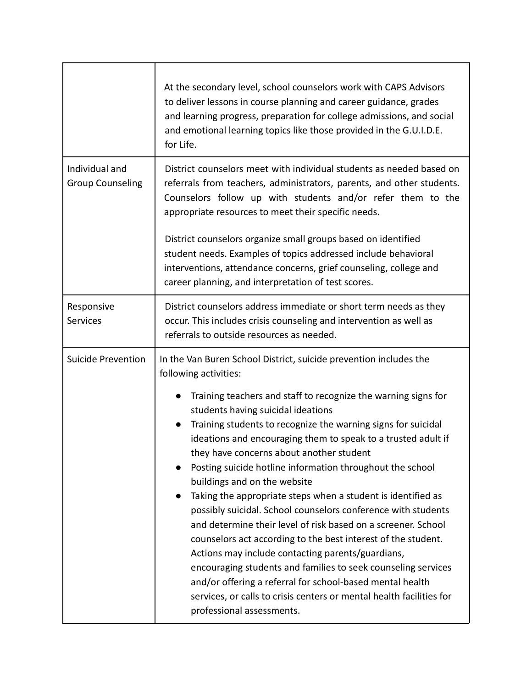|                                           | At the secondary level, school counselors work with CAPS Advisors<br>to deliver lessons in course planning and career guidance, grades<br>and learning progress, preparation for college admissions, and social<br>and emotional learning topics like those provided in the G.U.I.D.E.<br>for Life.                                                                                                                                                                                                                                                                                                                                                                                                                                                                                                                                                                                                                                                                                                                                                                |  |
|-------------------------------------------|--------------------------------------------------------------------------------------------------------------------------------------------------------------------------------------------------------------------------------------------------------------------------------------------------------------------------------------------------------------------------------------------------------------------------------------------------------------------------------------------------------------------------------------------------------------------------------------------------------------------------------------------------------------------------------------------------------------------------------------------------------------------------------------------------------------------------------------------------------------------------------------------------------------------------------------------------------------------------------------------------------------------------------------------------------------------|--|
| Individual and<br><b>Group Counseling</b> | District counselors meet with individual students as needed based on<br>referrals from teachers, administrators, parents, and other students.<br>Counselors follow up with students and/or refer them to the<br>appropriate resources to meet their specific needs.<br>District counselors organize small groups based on identified<br>student needs. Examples of topics addressed include behavioral<br>interventions, attendance concerns, grief counseling, college and<br>career planning, and interpretation of test scores.                                                                                                                                                                                                                                                                                                                                                                                                                                                                                                                                 |  |
|                                           |                                                                                                                                                                                                                                                                                                                                                                                                                                                                                                                                                                                                                                                                                                                                                                                                                                                                                                                                                                                                                                                                    |  |
| Responsive<br>Services                    | District counselors address immediate or short term needs as they<br>occur. This includes crisis counseling and intervention as well as<br>referrals to outside resources as needed.                                                                                                                                                                                                                                                                                                                                                                                                                                                                                                                                                                                                                                                                                                                                                                                                                                                                               |  |
| <b>Suicide Prevention</b>                 | In the Van Buren School District, suicide prevention includes the<br>following activities:<br>Training teachers and staff to recognize the warning signs for<br>$\bullet$<br>students having suicidal ideations<br>Training students to recognize the warning signs for suicidal<br>ideations and encouraging them to speak to a trusted adult if<br>they have concerns about another student<br>Posting suicide hotline information throughout the school<br>buildings and on the website<br>Taking the appropriate steps when a student is identified as<br>$\bullet$<br>possibly suicidal. School counselors conference with students<br>and determine their level of risk based on a screener. School<br>counselors act according to the best interest of the student.<br>Actions may include contacting parents/guardians,<br>encouraging students and families to seek counseling services<br>and/or offering a referral for school-based mental health<br>services, or calls to crisis centers or mental health facilities for<br>professional assessments. |  |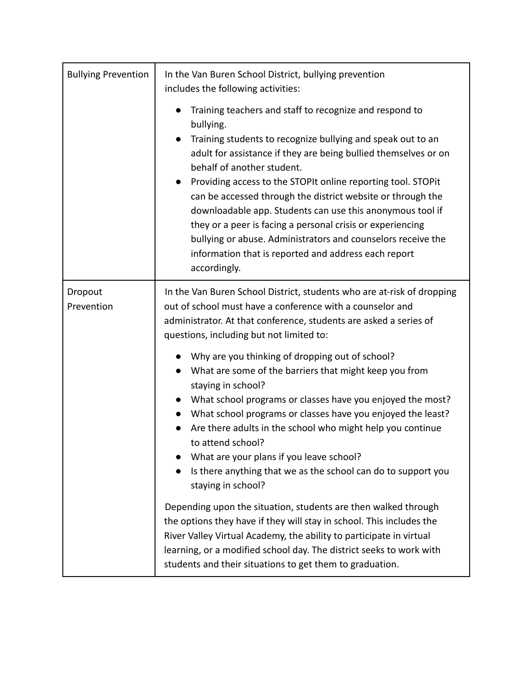| <b>Bullying Prevention</b> | In the Van Buren School District, bullying prevention<br>includes the following activities:                                                                                                                                                                                                                                                                                                                                                                                                                                                                                                                                            |  |
|----------------------------|----------------------------------------------------------------------------------------------------------------------------------------------------------------------------------------------------------------------------------------------------------------------------------------------------------------------------------------------------------------------------------------------------------------------------------------------------------------------------------------------------------------------------------------------------------------------------------------------------------------------------------------|--|
|                            | Training teachers and staff to recognize and respond to<br>bullying.<br>Training students to recognize bullying and speak out to an<br>adult for assistance if they are being bullied themselves or on<br>behalf of another student.<br>Providing access to the STOPIt online reporting tool. STOPit<br>can be accessed through the district website or through the<br>downloadable app. Students can use this anonymous tool if<br>they or a peer is facing a personal crisis or experiencing<br>bullying or abuse. Administrators and counselors receive the<br>information that is reported and address each report<br>accordingly. |  |
| Dropout<br>Prevention      | In the Van Buren School District, students who are at-risk of dropping<br>out of school must have a conference with a counselor and<br>administrator. At that conference, students are asked a series of<br>questions, including but not limited to:                                                                                                                                                                                                                                                                                                                                                                                   |  |
|                            | Why are you thinking of dropping out of school?<br>What are some of the barriers that might keep you from<br>staying in school?<br>• What school programs or classes have you enjoyed the most?<br>• What school programs or classes have you enjoyed the least?<br>Are there adults in the school who might help you continue<br>to attend school?<br>What are your plans if you leave school?<br>Is there anything that we as the school can do to support you<br>staying in school?                                                                                                                                                 |  |
|                            | Depending upon the situation, students are then walked through<br>the options they have if they will stay in school. This includes the<br>River Valley Virtual Academy, the ability to participate in virtual<br>learning, or a modified school day. The district seeks to work with<br>students and their situations to get them to graduation.                                                                                                                                                                                                                                                                                       |  |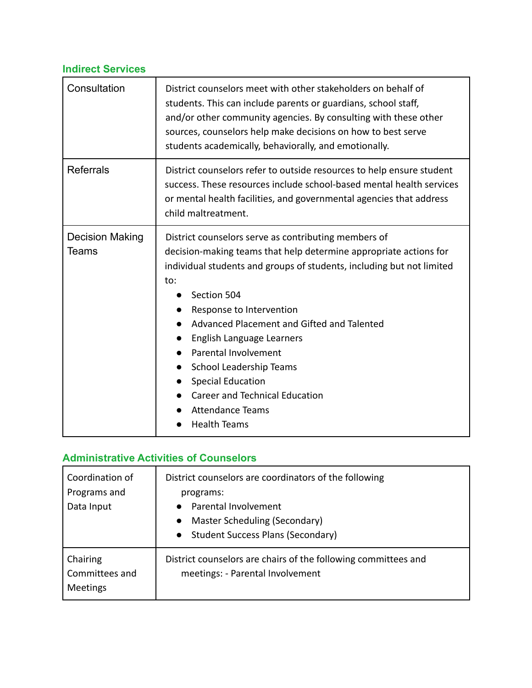# **Indirect Services**

| Consultation                    | District counselors meet with other stakeholders on behalf of<br>students. This can include parents or guardians, school staff,<br>and/or other community agencies. By consulting with these other<br>sources, counselors help make decisions on how to best serve<br>students academically, behaviorally, and emotionally.                                                                                                                                                                                                      |  |
|---------------------------------|----------------------------------------------------------------------------------------------------------------------------------------------------------------------------------------------------------------------------------------------------------------------------------------------------------------------------------------------------------------------------------------------------------------------------------------------------------------------------------------------------------------------------------|--|
| <b>Referrals</b>                | District counselors refer to outside resources to help ensure student<br>success. These resources include school-based mental health services<br>or mental health facilities, and governmental agencies that address<br>child maltreatment.                                                                                                                                                                                                                                                                                      |  |
| <b>Decision Making</b><br>Teams | District counselors serve as contributing members of<br>decision-making teams that help determine appropriate actions for<br>individual students and groups of students, including but not limited<br>to:<br>Section 504<br>Response to Intervention<br>Advanced Placement and Gifted and Talented<br>English Language Learners<br>$\bullet$<br>Parental Involvement<br>$\bullet$<br><b>School Leadership Teams</b><br>$\bullet$<br><b>Special Education</b><br><b>Career and Technical Education</b><br><b>Attendance Teams</b> |  |

# **Administrative Activities of Counselors**

| Coordination of<br>Programs and<br>Data Input | District counselors are coordinators of the following<br>programs:<br>• Parental Involvement<br>Master Scheduling (Secondary)<br>$\bullet$<br>• Student Success Plans (Secondary) |
|-----------------------------------------------|-----------------------------------------------------------------------------------------------------------------------------------------------------------------------------------|
| Chairing<br>Committees and<br>Meetings        | District counselors are chairs of the following committees and<br>meetings: - Parental Involvement                                                                                |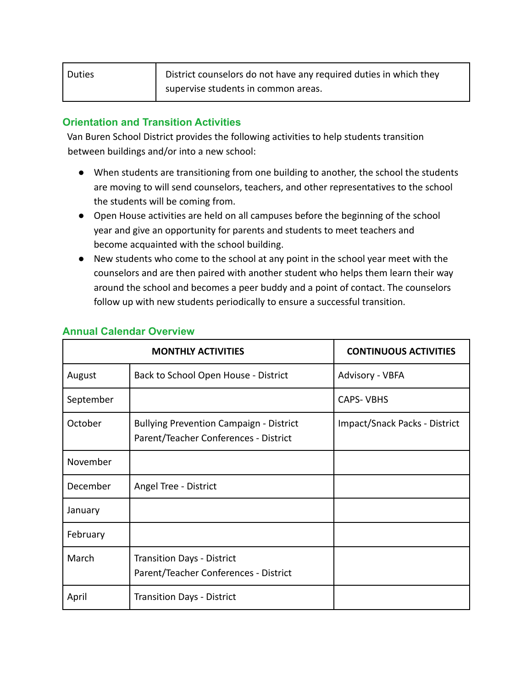| <b>Duties</b> | District counselors do not have any required duties in which they |
|---------------|-------------------------------------------------------------------|
|               | supervise students in common areas.                               |

### **Orientation and Transition Activities**

Van Buren School District provides the following activities to help students transition between buildings and/or into a new school:

- When students are transitioning from one building to another, the school the students are moving to will send counselors, teachers, and other representatives to the school the students will be coming from.
- Open House activities are held on all campuses before the beginning of the school year and give an opportunity for parents and students to meet teachers and become acquainted with the school building.
- New students who come to the school at any point in the school year meet with the counselors and are then paired with another student who helps them learn their way around the school and becomes a peer buddy and a point of contact. The counselors follow up with new students periodically to ensure a successful transition.

| <b>MONTHLY ACTIVITIES</b> |                                                                                         | <b>CONTINUOUS ACTIVITIES</b>  |
|---------------------------|-----------------------------------------------------------------------------------------|-------------------------------|
| August                    | Back to School Open House - District                                                    | Advisory - VBFA               |
| September                 |                                                                                         | <b>CAPS-VBHS</b>              |
| October                   | <b>Bullying Prevention Campaign - District</b><br>Parent/Teacher Conferences - District | Impact/Snack Packs - District |
| November                  |                                                                                         |                               |
| December                  | Angel Tree - District                                                                   |                               |
| January                   |                                                                                         |                               |
| February                  |                                                                                         |                               |
| March                     | <b>Transition Days - District</b><br>Parent/Teacher Conferences - District              |                               |
| April                     | <b>Transition Days - District</b>                                                       |                               |

#### **Annual Calendar Overview**